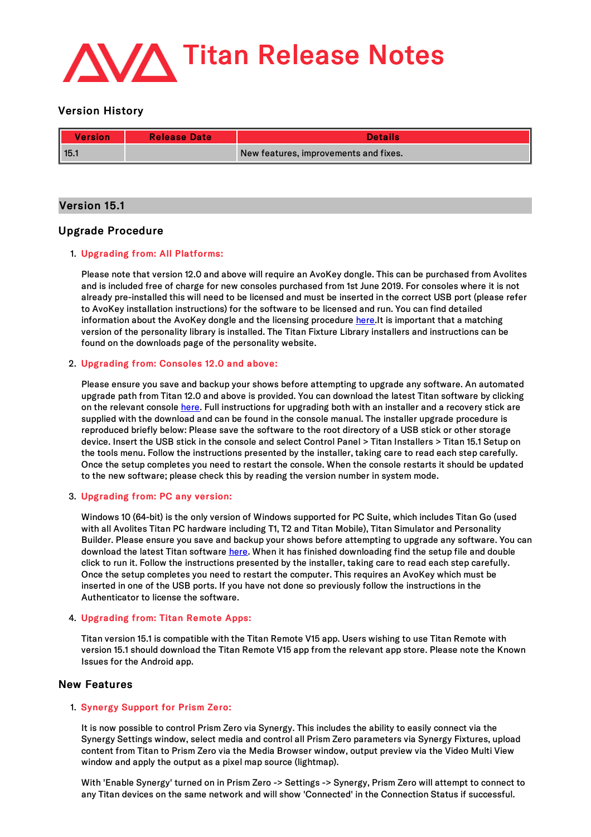

# Version History

| Version | <b>Release Date</b> | <b>Details</b>                        |
|---------|---------------------|---------------------------------------|
| 115.1   |                     | New features, improvements and fixes. |

# Version 15.1

# Upgrade Procedure

# 1. Upgrading from: All Platforms:

Please note that version 12.0 and above will require an AvoKey dongle. This can be purchased from Avolites and is included free of charge for new consoles purchased from 1st June 2019. For consoles where it is not already pre-installed this will need to be licensed and must be inserted in the correct USB port (please refer to AvoKey installation instructions) for the software to be licensed and run. You can find detailed information about the AvoKey dongle and the licensing procedure [here](https://www.avolites.com/avokey).It is important that a matching version of the personality library is installed. The Titan Fixture Library installers and instructions can be found on the downloads page of the personality website.

# 2. Upgrading from: Consoles 12.0 and above:

Please ensure you save and backup your shows before attempting to upgrade any software. An automated upgrade path from Titan 12.0 and above is provided. You can download the latest Titan software by clicking on the relevant console [here](http://www.avolites.com/software/latest-version). Full instructions for upgrading both with an installer and a recovery stick are supplied with the download and can be found in the console manual. The installer upgrade procedure is reproduced briefly below: Please save the software to the root directory of a USB stick or other storage device. Insert the USB stick in the console and select Control Panel > Titan Installers > Titan 15.1 Setup on the tools menu. Follow the instructions presented by the installer, taking care to read each step carefully. Once the setup completes you need to restart the console. When the console restarts it should be updated to the new software; please check this by reading the version number in system mode.

## 3. Upgrading from: PC any version:

Windows 10 (64-bit) is the only version of Windows supported for PC Suite, which includes Titan Go (used with all Avolites Titan PC hardware including T1, T2 and Titan Mobile), Titan Simulator and Personality Builder. Please ensure you save and backup your shows before attempting to upgrade any software. You can download the latest Titan software [here](http://www.avolites.com/software/latest-version). When it has finished downloading find the setup file and double click to run it. Follow the instructions presented by the installer, taking care to read each step carefully. Once the setup completes you need to restart the computer. This requires an AvoKey which must be inserted in one of the USB ports. If you have not done so previously follow the instructions in the Authenticator to license the software.

# 4. Upgrading from: Titan Remote Apps:

Titan version 15.1 is compatible with the Titan Remote V15 app. Users wishing to use Titan Remote with version 15.1should download the Titan Remote V15 app from the relevant app store. Please note the Known Issues for the Android app.

# New Features

# 1. Synergy Support for Prism Zero:

It is now possible to control Prism Zero via Synergy. This includes the ability to easily connect via the Synergy Settings window, select media and control all Prism Zero parameters via Synergy Fixtures, upload content from Titan to Prism Zero via the Media Browser window, output preview via the Video Multi View window and apply the output as a pixel map source (lightmap).

With 'Enable Synergy' turned on in Prism Zero -> Settings -> Synergy, Prism Zero will attempt to connect to any Titan devices on the same network and willshow 'Connected' in the Connection Status if successful.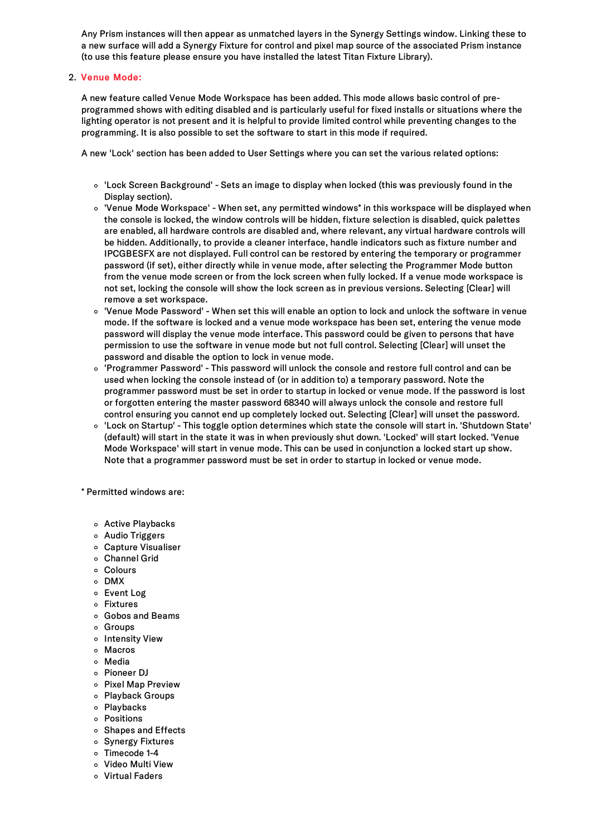Any Prism instances will then appear as unmatched layers in the Synergy Settings window. Linking these to a new surface will add a Synergy Fixture for control and pixel map source of the associated Prism instance (to use this feature please ensure you have installed the latest Titan Fixture Library).

# 2. Venue Mode:

A new feature called Venue Mode Workspace has been added. This mode allows basic control of preprogrammed shows with editing disabled and is particularly useful for fixed installs or situations where the lighting operator is not present and it is helpful to provide limited control while preventing changes to the programming. It is also possible to set the software to start in this mode if required.

A new 'Lock' section has been added to User Settings where you can set the various related options:

- 'Lock Screen Background' Sets an image to display when locked (this was previously found in the Display section).
- 'Venue Mode Workspace' When set, any permitted windows\* in this workspace will be displayed when the console is locked, the window controls will be hidden, fixture selection is disabled, quick palettes are enabled, all hardware controls are disabled and, where relevant, any virtual hardware controls will be hidden. Additionally, to provide a cleaner interface, handle indicators such as fixture number and IPCGBESFX are not displayed. Full control can be restored by entering the temporary or programmer password (if set), either directly while in venue mode, after selecting the Programmer Mode button from the venue mode screen or from the lock screen when fully locked. If a venue mode workspace is not set, locking the console will show the lock screen as in previous versions. Selecting [Clear] will remove a set workspace.
- 'Venue Mode Password' When set this will enable an option to lock and unlock the software in venue mode. If the software is locked and a venue mode workspace has been set, entering the venue mode password will display the venue mode interface. This password could be given to persons that have permission to use the software in venue mode but not full control. Selecting [Clear] will unset the password and disable the option to lock in venue mode.
- 'Programmer Password' This password will unlock the console and restore full control and can be used when locking the console instead of (or in addition to) a temporary password. Note the programmer password must be set in order to startup in locked or venue mode. If the password is lost or forgotten entering the master password 68340 will always unlock the console and restore full control ensuring you cannot end up completely locked out. Selecting [Clear] will unset the password.
- 'Lock on Startup' This toggle option determines which state the console willstart in. 'Shutdown State' (default) will start in the state it was in when previously shut down. 'Locked' will start locked. 'Venue Mode Workspace' will start in venue mode. This can be used in conjunction a locked start up show. Note that a programmer password must be set in order to startup in locked or venue mode.

\* Permitted windows are:

- Active Playbacks
- Audio Triggers
- Capture Visualiser
- Channel Grid
- Colours
- DMX
- Event Log
- Fixtures
- Gobos and Beams
- o Groups
- o Intensity View
- Macros
- Media
- Pioneer DJ
- o Pixel Map Preview
- Playback Groups
- Playbacks
- Positions
- o Shapes and Effects
- o Synergy Fixtures
- Timecode 1-4
- Video Multi View
- Virtual Faders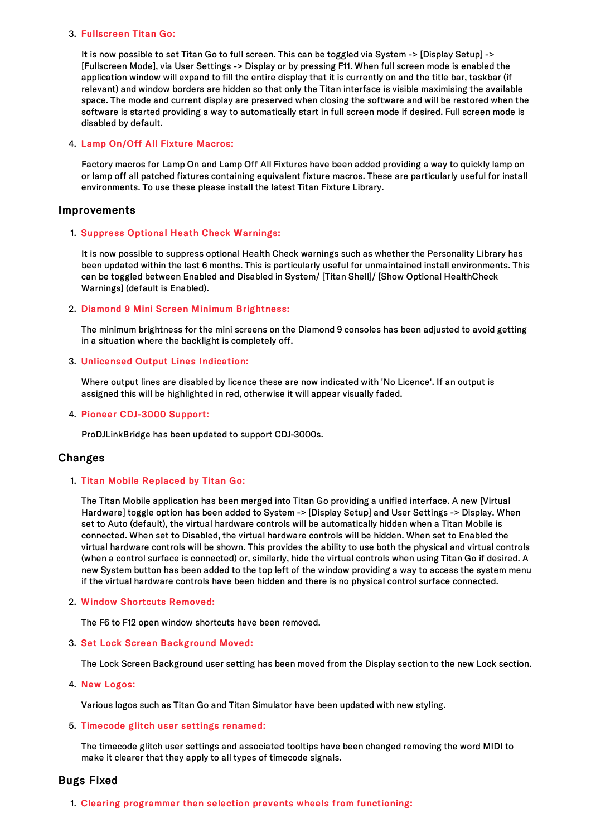## 3. Fullscreen Titan Go:

It is now possible to set Titan Go to full screen. This can be toggled via System -> [Display Setup] -> [Fullscreen Mode], via User Settings -> Display or by pressing F11. When fullscreen mode is enabled the application window will expand to fill the entire display that it is currently on and the title bar, taskbar (if relevant) and window borders are hidden so that only the Titan interface is visible maximising the available space. The mode and current display are preserved when closing the software and will be restored when the software is started providing a way to automatically start in full screen mode if desired. Full screen mode is disabled by default.

# 4. Lamp On/Off All Fixture Macros:

Factory macros for Lamp On and Lamp Off All Fixtures have been added providing a way to quickly lamp on or lamp off all patched fixtures containing equivalent fixture macros. These are particularly useful for install environments. To use these please install the latest Titan Fixture Library.

# Improvements

# 1. Suppress Optional Heath Check Warnings:

It is now possible to suppress optional Health Check warnings such as whether the Personality Library has been updated within the last 6 months. This is particularly useful for unmaintained install environments. This can be toggled between Enabled and Disabled in System/ [Titan Shell]/ [Show Optional HealthCheck Warnings] (default is Enabled).

## 2. Diamond 9 Mini Screen Minimum Brightness:

The minimum brightness for the miniscreens on the Diamond 9 consoles has been adjusted to avoid getting in a situation where the backlight is completely off.

# 3. Unlicensed Output Lines Indication:

Where output lines are disabled by licence these are now indicated with 'No Licence'. If an output is assigned this will be highlighted in red, otherwise it will appear visually faded.

## 4. Pioneer CDJ-3000 Support:

ProDJLinkBridge has been updated to support CDJ-3000s.

# Changes

## 1. Titan Mobile Replaced by Titan Go:

The Titan Mobile application has been merged into Titan Go providing a unified interface. A new [Virtual Hardware] toggle option has been added to System -> [Display Setup] and User Settings -> Display. When set to Auto (default), the virtual hardware controls will be automatically hidden when a Titan Mobile is connected. When set to Disabled, the virtual hardware controls will be hidden. When set to Enabled the virtual hardware controls will be shown. This provides the ability to use both the physical and virtual controls (when a control surface is connected) or, similarly, hide the virtual controls when using Titan Go if desired. A new System button has been added to the top left of the window providing a way to access the system menu if the virtual hardware controls have been hidden and there is no physical control surface connected.

## 2. Window Shortcuts Removed:

The F6 to F12 open window shortcuts have been removed.

## 3. Set Lock Screen Background Moved:

The Lock Screen Background user setting has been moved from the Display section to the new Lock section.

## 4. New Logos:

Various logos such as Titan Go and Titan Simulator have been updated with new styling.

## 5. Timecode glitch user settings renamed:

The timecode glitch user settings and associated tooltips have been changed removing the word MIDI to make it clearer that they apply to all types of timecode signals.

## Bugs Fixed

1. Clearing programmer then selection prevents wheels from functioning: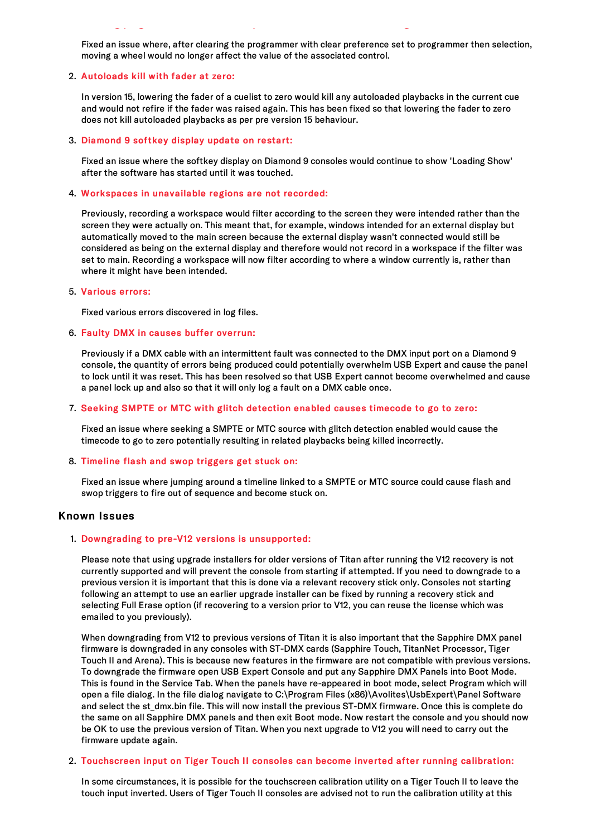Fixed an issue where, after clearing the programmer with clear preference set to programmer then selection, moving a wheel would no longer affect the value of the associated control.

1. Clearing programmer then selection prevents wheels from functioning:

#### 2. Autoloads kill with fader at zero:

In version 15, lowering the fader of a cuelist to zero would kill any autoloaded playbacks in the current cue and would not refire if the fader was raised again. This has been fixed so that lowering the fader to zero does not kill autoloaded playbacks as per pre version 15 behaviour.

#### 3. Diamond 9 softkey display update on restart:

Fixed an issue where the softkey display on Diamond 9 consoles would continue to show 'Loading Show' after the software has started until it was touched.

#### 4. Workspaces in unavailable regions are not recorded:

Previously, recording a workspace would filter according to the screen they were intended rather than the screen they were actually on. This meant that, for example, windows intended for an external display but automatically moved to the main screen because the external display wasn't connected would still be considered as being on the external display and therefore would not record in a workspace if the filter was set to main. Recording a workspace will now filter according to where a window currently is, rather than where it might have been intended.

#### 5. Various errors:

Fixed various errors discovered in log files.

#### 6. Faulty DMX in causes buffer overrun:

Previously if a DMX cable with an intermittent fault was connected to the DMX input port on a Diamond 9 console, the quantity of errors being produced could potentially overwhelm USB Expert and cause the panel to lock until it was reset. This has been resolved so that USB Expert cannot become overwhelmed and cause a panel lock up and also so that it will only log a fault on a DMX cable once.

#### 7. Seeking SMPTE or MTC with glitch detection enabled causes timecode to go to zero:

Fixed an issue where seeking a SMPTE or MTC source with glitch detection enabled would cause the timecode to go to zero potentially resulting in related playbacks being killed incorrectly.

### 8. Timeline flash and swop triggers get stuck on:

Fixed an issue where jumping around a timeline linked to a SMPTE or MTC source could cause flash and swop triggers to fire out of sequence and become stuck on.

# Known Issues

#### 1. Downgrading to pre-V12 versions is unsupported:

Please note that using upgrade installers for older versions of Titan after running the V12 recovery is not currently supported and will prevent the console from starting if attempted. If you need to downgrade to a previous version it is important that this is done via a relevant recovery stick only. Consoles not starting following an attempt to use an earlier upgrade installer can be fixed by running a recovery stick and selecting Full Erase option (if recovering to a version prior to V12, you can reuse the license which was emailed to you previously).

When downgrading from V12 to previous versions of Titan it is also important that the Sapphire DMX panel firmware is downgraded in any consoles with ST-DMX cards (Sapphire Touch, TitanNet Processor, Tiger Touch II and Arena). This is because new features in the firmware are not compatible with previous versions. To downgrade the firmware open USB Expert Console and put any Sapphire DMX Panels into Boot Mode. This is found in the Service Tab. When the panels have re-appeared in boot mode, select Program which will open a file dialog. In the file dialog navigate to C:\Program Files (x86)\Avolites\UsbExpert\Panel Software and select the st\_dmx.bin file. This will now install the previous ST-DMX firmware. Once this is complete do the same on all Sapphire DMX panels and then exit Boot mode. Now restart the console and you should now be OK to use the previous version of Titan. When you next upgrade to V12 you will need to carry out the firmware update again.

#### 2. Touchscreen input on Tiger Touch II consoles can become inverted after running calibration:

In some circumstances, it is possible for the touchscreen calibration utility on a Tiger Touch II to leave the touch input inverted. Users of Tiger Touch II consoles are advised not to run the calibration utility at this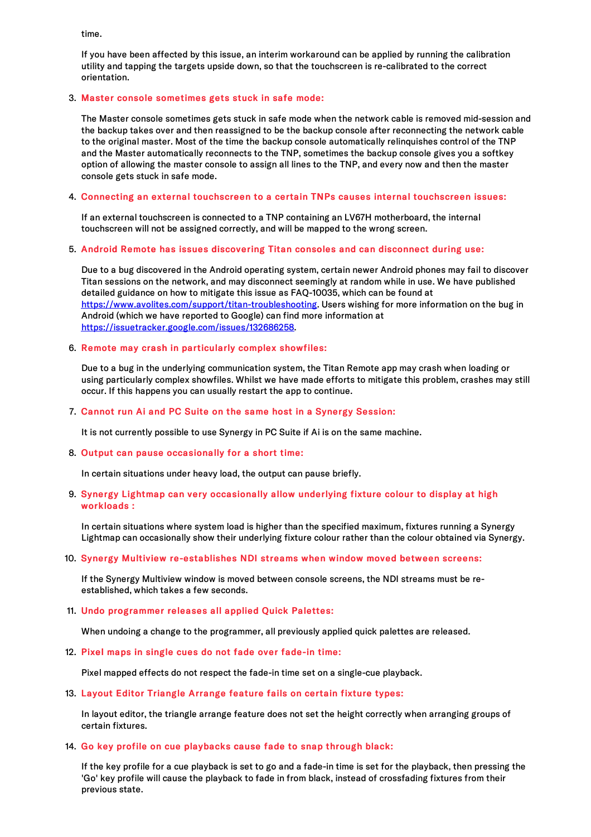time.

If you have been affected by this issue, an interim workaround can be applied by running the calibration utility and tapping the targets upside down, so that the touchscreen is re-calibrated to the correct orientation.

# 3. Master console sometimes gets stuck in safe mode:

The Master console sometimes gets stuck in safe mode when the network cable is removed mid-session and the backup takes over and then reassigned to be the backup console after reconnecting the network cable to the original master. Most of the time the backup console automatically relinquishes control of the TNP and the Master automatically reconnects to the TNP, sometimes the backup console gives you a softkey option of allowing the master console to assign all lines to the TNP, and every now and then the master console gets stuck in safe mode.

## 4. Connecting an external touchscreen to a certain TNPs causes internal touchscreen issues:

If an external touchscreen is connected to a TNP containing an LV67H motherboard, the internal touchscreen will not be assigned correctly, and will be mapped to the wrong screen.

## 5. Android Remote has issues discovering Titan consoles and can disconnect during use:

Due to a bug discovered in the Android operating system, certain newer Android phones may fail to discover Titan sessions on the network, and may disconnect seemingly at random while in use. We have published detailed guidance on how to mitigate this issue as FAQ-10035, which can be found at <https://www.avolites.com/support/titan-troubleshooting>. Users wishing for more information on the bug in Android (which we have reported to Google) can find more information at <https://issuetracker.google.com/issues/132686258>.

## 6. Remote may crash in particularly complex showfiles:

Due to a bug in the underlying communication system, the Titan Remote app may crash when loading or using particularly complex showfiles. Whilst we have made efforts to mitigate this problem, crashes may still occur. If this happens you can usually restart the app to continue.

# 7. Cannot run Ai and PC Suite on the same host in a Synergy Session:

It is not currently possible to use Synergy in PC Suite if Ai is on the same machine.

## 8. Output can pause occasionally for a short time:

In certain situations under heavy load, the output can pause briefly.

# 9. Synergy Lightmap can very occasionally allow underlying fixture colour to display at high workloads :

In certain situations where system load is higher than the specified maximum, fixtures running a Synergy Lightmap can occasionally show their underlying fixture colour rather than the colour obtained via Synergy.

# 10. Synergy Multiview re-establishes NDI streams when window moved between screens:

If the Synergy Multiview window is moved between console screens, the NDI streams must be reestablished, which takes a few seconds.

## 11. Undo programmer releases all applied Quick Palettes:

When undoing a change to the programmer, all previously applied quick palettes are released.

## 12. Pixel maps in single cues do not fade over fade-in time:

Pixel mapped effects do not respect the fade-in time set on a single-cue playback.

# 13. Layout Editor Triangle Arrange feature fails on certain fixture types:

In layout editor, the triangle arrange feature does not set the height correctly when arranging groups of certain fixtures.

## 14. Go key profile on cue playbacks cause fade to snap through black:

If the key profile for a cue playback is set to go and a fade-in time is set for the playback, then pressing the 'Go' key profile will cause the playback to fade in from black, instead of crossfading fixtures from their previous state.